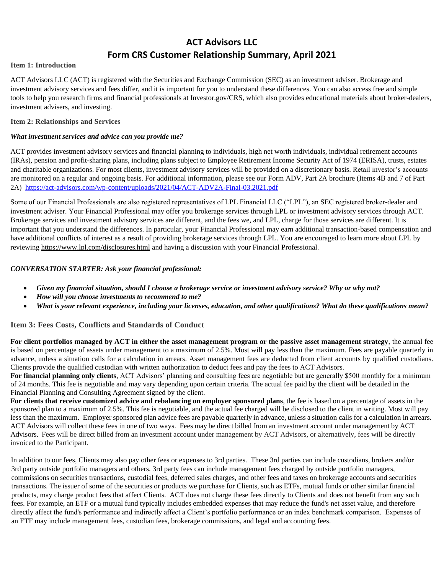# **ACT Advisors LLC Form CRS Customer Relationship Summary, April 2021**

#### **Item 1: Introduction**

ACT Advisors LLC (ACT) is registered with the Securities and Exchange Commission (SEC) as an investment adviser. Brokerage and investment advisory services and fees differ, and it is important for you to understand these differences. You can also access free and simple tools to help you research firms and financial professionals at Investor.gov/CRS, which also provides educational materials about broker-dealers, investment advisers, and investing.

#### **Item 2: Relationships and Services**

#### *What investment services and advice can you provide me?*

ACT provides investment advisory services and financial planning to individuals, high net worth individuals, individual retirement accounts (IRAs), pension and profit-sharing plans, including plans subject to Employee Retirement Income Security Act of 1974 (ERISA), trusts, estates and charitable organizations. For most clients, investment advisory services will be provided on a discretionary basis. Retail investor's accounts are monitored on a regular and ongoing basis. For additional information, please see our Form ADV, Part 2A brochure (Items 4B and 7 of Part 2A) <https://act-advisors.com/wp-content/uploads/2021/04/ACT-ADV2A-Final-03.2021.pdf>

Some of our Financial Professionals are also registered representatives of LPL Financial LLC ("LPL"), an SEC registered broker-dealer and investment adviser. Your Financial Professional may offer you brokerage services through LPL or investment advisory services through ACT. Brokerage services and investment advisory services are different, and the fees we, and LPL, charge for those services are different. It is important that you understand the differences. In particular, your Financial Professional may earn additional transaction-based compensation and have additional conflicts of interest as a result of providing brokerage services through LPL. You are encouraged to learn more about LPL by reviewing<https://www.lpl.com/disclosures.html> and having a discussion with your Financial Professional.

# *CONVERSATION STARTER: Ask your financial professional:*

- *Given my financial situation, should I choose a brokerage service or investment advisory service? Why or why not?*
- *How will you choose investments to recommend to me?*
- *What is your relevant experience, including your licenses, education, and other qualifications? What do these qualifications mean?*

# **Item 3: Fees Costs, Conflicts and Standards of Conduct**

**For client portfolios managed by ACT in either the asset management program or the passive asset management strategy**, the annual fee is based on percentage of assets under management to a maximum of 2.5%. Most will pay less than the maximum. Fees are payable quarterly in advance, unless a situation calls for a calculation in arrears. Asset management fees are deducted from client accounts by qualified custodians. Clients provide the qualified custodian with written authorization to deduct fees and pay the fees to ACT Advisors.

**For financial planning only clients**, ACT Advisors' planning and consulting fees are negotiable but are generally \$500 monthly for a minimum of 24 months. This fee is negotiable and may vary depending upon certain criteria. The actual fee paid by the client will be detailed in the Financial Planning and Consulting Agreement signed by the client.

**For clients that receive customized advice and rebalancing on employer sponsored plans**, the fee is based on a percentage of assets in the sponsored plan to a maximum of 2.5%. This fee is negotiable, and the actual fee charged will be disclosed to the client in writing. Most will pay less than the maximum. Employer sponsored plan advice fees are payable quarterly in advance, unless a situation calls for a calculation in arrears. ACT Advisors will collect these fees in one of two ways. Fees may be direct billed from an investment account under management by ACT Advisors. Fees will be direct billed from an investment account under management by ACT Advisors, or alternatively, fees will be directly invoiced to the Participant.

In addition to our fees, Clients may also pay other fees or expenses to 3rd parties. These 3rd parties can include custodians, brokers and/or 3rd party outside portfolio managers and others. 3rd party fees can include management fees charged by outside portfolio managers, commissions on securities transactions, custodial fees, deferred sales charges, and other fees and taxes on brokerage accounts and securities transactions. The issuer of some of the securities or products we purchase for Clients, such as ETFs, mutual funds or other similar financial products, may charge product fees that affect Clients. ACT does not charge these fees directly to Clients and does not benefit from any such fees. For example, an ETF or a mutual fund typically includes embedded expenses that may reduce the fund's net asset value, and therefore directly affect the fund's performance and indirectly affect a Client's portfolio performance or an index benchmark comparison. Expenses of an ETF may include management fees, custodian fees, brokerage commissions, and legal and accounting fees.